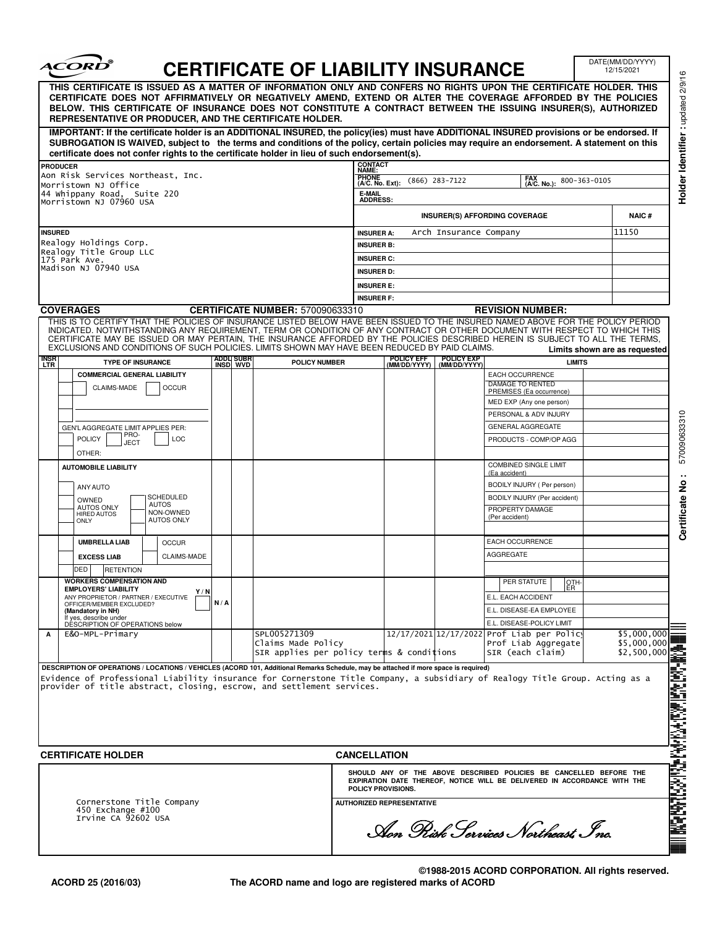| THIS CERTIFICATE IS ISSUED AS A MATTER OF INFORMATION ONLY AND CONFERS NO RIGHTS UPON THE CERTIFICATE HOLDER. THIS<br>CERTIFICATE DOES NOT AFFIRMATIVELY OR NEGATIVELY AMEND, EXTEND OR ALTER THE COVERAGE AFFORDED BY THE POLICIES<br>BELOW. THIS CERTIFICATE OF INSURANCE DOES NOT CONSTITUTE A CONTRACT BETWEEN THE ISSUING INSURER(S), AUTHORIZED<br>REPRESENTATIVE OR PRODUCER, AND THE CERTIFICATE HOLDER.<br>IMPORTANT: If the certificate holder is an ADDITIONAL INSURED, the policy(ies) must have ADDITIONAL INSURED provisions or be endorsed. If<br>SUBROGATION IS WAIVED, subject to the terms and conditions of the policy, certain policies may require an endorsement. A statement on this<br>certificate does not confer rights to the certificate holder in lieu of such endorsement(s). |                                                                                                                                                                                                                                                                                                                                              |                                                                                                                     | <b>CERTIFICATE OF LIABILITY INSURANCE</b> |                                                      |                                         |                   |                                                                                           |                                                                                                                                                                                                                                                                                                                                                                                                                                                                                                                                                                                                                                       |                                                                                                                                                                                                                                                                                                                                                                                                                                                                                                                                       |  |  |  |
|-------------------------------------------------------------------------------------------------------------------------------------------------------------------------------------------------------------------------------------------------------------------------------------------------------------------------------------------------------------------------------------------------------------------------------------------------------------------------------------------------------------------------------------------------------------------------------------------------------------------------------------------------------------------------------------------------------------------------------------------------------------------------------------------------------------|----------------------------------------------------------------------------------------------------------------------------------------------------------------------------------------------------------------------------------------------------------------------------------------------------------------------------------------------|---------------------------------------------------------------------------------------------------------------------|-------------------------------------------|------------------------------------------------------|-----------------------------------------|-------------------|-------------------------------------------------------------------------------------------|---------------------------------------------------------------------------------------------------------------------------------------------------------------------------------------------------------------------------------------------------------------------------------------------------------------------------------------------------------------------------------------------------------------------------------------------------------------------------------------------------------------------------------------------------------------------------------------------------------------------------------------|---------------------------------------------------------------------------------------------------------------------------------------------------------------------------------------------------------------------------------------------------------------------------------------------------------------------------------------------------------------------------------------------------------------------------------------------------------------------------------------------------------------------------------------|--|--|--|
|                                                                                                                                                                                                                                                                                                                                                                                                                                                                                                                                                                                                                                                                                                                                                                                                             |                                                                                                                                                                                                                                                                                                                                              |                                                                                                                     |                                           |                                                      |                                         |                   |                                                                                           |                                                                                                                                                                                                                                                                                                                                                                                                                                                                                                                                                                                                                                       |                                                                                                                                                                                                                                                                                                                                                                                                                                                                                                                                       |  |  |  |
|                                                                                                                                                                                                                                                                                                                                                                                                                                                                                                                                                                                                                                                                                                                                                                                                             |                                                                                                                                                                                                                                                                                                                                              |                                                                                                                     |                                           |                                                      |                                         |                   |                                                                                           |                                                                                                                                                                                                                                                                                                                                                                                                                                                                                                                                                                                                                                       |                                                                                                                                                                                                                                                                                                                                                                                                                                                                                                                                       |  |  |  |
|                                                                                                                                                                                                                                                                                                                                                                                                                                                                                                                                                                                                                                                                                                                                                                                                             |                                                                                                                                                                                                                                                                                                                                              |                                                                                                                     |                                           | <b>CONTACT</b><br>NAME:                              |                                         |                   |                                                                                           |                                                                                                                                                                                                                                                                                                                                                                                                                                                                                                                                                                                                                                       |                                                                                                                                                                                                                                                                                                                                                                                                                                                                                                                                       |  |  |  |
|                                                                                                                                                                                                                                                                                                                                                                                                                                                                                                                                                                                                                                                                                                                                                                                                             |                                                                                                                                                                                                                                                                                                                                              | Aon Risk Services Northeast, Inc.<br>Morristown NJ Office<br>44 Whippany Road, Suite 220<br>Morristown NJ 07960 USA |                                           |                                                      |                                         |                   | <b>PHONE</b><br>FAX<br>(A/C. No.):<br>$(866)$ 283-7122<br>800-363-0105<br>(A/C. No. Ext): |                                                                                                                                                                                                                                                                                                                                                                                                                                                                                                                                                                                                                                       |                                                                                                                                                                                                                                                                                                                                                                                                                                                                                                                                       |  |  |  |
|                                                                                                                                                                                                                                                                                                                                                                                                                                                                                                                                                                                                                                                                                                                                                                                                             |                                                                                                                                                                                                                                                                                                                                              |                                                                                                                     |                                           |                                                      |                                         |                   | E-MAIL<br><b>ADDRESS:</b>                                                                 |                                                                                                                                                                                                                                                                                                                                                                                                                                                                                                                                                                                                                                       |                                                                                                                                                                                                                                                                                                                                                                                                                                                                                                                                       |  |  |  |
|                                                                                                                                                                                                                                                                                                                                                                                                                                                                                                                                                                                                                                                                                                                                                                                                             |                                                                                                                                                                                                                                                                                                                                              |                                                                                                                     |                                           |                                                      | <b>INSURER(S) AFFORDING COVERAGE</b>    |                   |                                                                                           |                                                                                                                                                                                                                                                                                                                                                                                                                                                                                                                                                                                                                                       | <b>NAIC#</b>                                                                                                                                                                                                                                                                                                                                                                                                                                                                                                                          |  |  |  |
|                                                                                                                                                                                                                                                                                                                                                                                                                                                                                                                                                                                                                                                                                                                                                                                                             |                                                                                                                                                                                                                                                                                                                                              |                                                                                                                     |                                           | 11150<br>Arch Insurance Company<br><b>INSURER A:</b> |                                         |                   |                                                                                           |                                                                                                                                                                                                                                                                                                                                                                                                                                                                                                                                                                                                                                       |                                                                                                                                                                                                                                                                                                                                                                                                                                                                                                                                       |  |  |  |
| <b>INSURED</b><br>Realogy Holdings Corp.                                                                                                                                                                                                                                                                                                                                                                                                                                                                                                                                                                                                                                                                                                                                                                    |                                                                                                                                                                                                                                                                                                                                              |                                                                                                                     |                                           | <b>INSURER B:</b>                                    |                                         |                   |                                                                                           |                                                                                                                                                                                                                                                                                                                                                                                                                                                                                                                                                                                                                                       |                                                                                                                                                                                                                                                                                                                                                                                                                                                                                                                                       |  |  |  |
| Realogy Title Group LLC<br>175 Park Ave.<br>Madison NJ 07940 USA                                                                                                                                                                                                                                                                                                                                                                                                                                                                                                                                                                                                                                                                                                                                            |                                                                                                                                                                                                                                                                                                                                              |                                                                                                                     |                                           | <b>INSURER C:</b>                                    |                                         |                   |                                                                                           |                                                                                                                                                                                                                                                                                                                                                                                                                                                                                                                                                                                                                                       |                                                                                                                                                                                                                                                                                                                                                                                                                                                                                                                                       |  |  |  |
|                                                                                                                                                                                                                                                                                                                                                                                                                                                                                                                                                                                                                                                                                                                                                                                                             |                                                                                                                                                                                                                                                                                                                                              |                                                                                                                     |                                           | <b>INSURER D:</b>                                    |                                         |                   |                                                                                           |                                                                                                                                                                                                                                                                                                                                                                                                                                                                                                                                                                                                                                       |                                                                                                                                                                                                                                                                                                                                                                                                                                                                                                                                       |  |  |  |
|                                                                                                                                                                                                                                                                                                                                                                                                                                                                                                                                                                                                                                                                                                                                                                                                             |                                                                                                                                                                                                                                                                                                                                              |                                                                                                                     |                                           |                                                      | <b>INSURER E:</b>                       |                   |                                                                                           |                                                                                                                                                                                                                                                                                                                                                                                                                                                                                                                                                                                                                                       |                                                                                                                                                                                                                                                                                                                                                                                                                                                                                                                                       |  |  |  |
| <b>INSURER F:</b><br><b>COVERAGES</b>                                                                                                                                                                                                                                                                                                                                                                                                                                                                                                                                                                                                                                                                                                                                                                       |                                                                                                                                                                                                                                                                                                                                              |                                                                                                                     |                                           |                                                      |                                         |                   |                                                                                           |                                                                                                                                                                                                                                                                                                                                                                                                                                                                                                                                                                                                                                       |                                                                                                                                                                                                                                                                                                                                                                                                                                                                                                                                       |  |  |  |
|                                                                                                                                                                                                                                                                                                                                                                                                                                                                                                                                                                                                                                                                                                                                                                                                             |                                                                                                                                                                                                                                                                                                                                              |                                                                                                                     |                                           |                                                      |                                         |                   |                                                                                           |                                                                                                                                                                                                                                                                                                                                                                                                                                                                                                                                                                                                                                       |                                                                                                                                                                                                                                                                                                                                                                                                                                                                                                                                       |  |  |  |
|                                                                                                                                                                                                                                                                                                                                                                                                                                                                                                                                                                                                                                                                                                                                                                                                             |                                                                                                                                                                                                                                                                                                                                              |                                                                                                                     |                                           |                                                      |                                         |                   |                                                                                           |                                                                                                                                                                                                                                                                                                                                                                                                                                                                                                                                                                                                                                       |                                                                                                                                                                                                                                                                                                                                                                                                                                                                                                                                       |  |  |  |
|                                                                                                                                                                                                                                                                                                                                                                                                                                                                                                                                                                                                                                                                                                                                                                                                             |                                                                                                                                                                                                                                                                                                                                              |                                                                                                                     |                                           |                                                      |                                         |                   |                                                                                           |                                                                                                                                                                                                                                                                                                                                                                                                                                                                                                                                                                                                                                       |                                                                                                                                                                                                                                                                                                                                                                                                                                                                                                                                       |  |  |  |
| <b>TYPE OF INSURANCE</b>                                                                                                                                                                                                                                                                                                                                                                                                                                                                                                                                                                                                                                                                                                                                                                                    |                                                                                                                                                                                                                                                                                                                                              |                                                                                                                     | <b>POLICY NUMBER</b>                      |                                                      | (MM/DD/YYYY)                            | (MM/DD/YYYY)      |                                                                                           |                                                                                                                                                                                                                                                                                                                                                                                                                                                                                                                                                                                                                                       |                                                                                                                                                                                                                                                                                                                                                                                                                                                                                                                                       |  |  |  |
|                                                                                                                                                                                                                                                                                                                                                                                                                                                                                                                                                                                                                                                                                                                                                                                                             |                                                                                                                                                                                                                                                                                                                                              |                                                                                                                     |                                           |                                                      |                                         |                   |                                                                                           |                                                                                                                                                                                                                                                                                                                                                                                                                                                                                                                                                                                                                                       |                                                                                                                                                                                                                                                                                                                                                                                                                                                                                                                                       |  |  |  |
|                                                                                                                                                                                                                                                                                                                                                                                                                                                                                                                                                                                                                                                                                                                                                                                                             |                                                                                                                                                                                                                                                                                                                                              |                                                                                                                     |                                           |                                                      |                                         |                   |                                                                                           |                                                                                                                                                                                                                                                                                                                                                                                                                                                                                                                                                                                                                                       |                                                                                                                                                                                                                                                                                                                                                                                                                                                                                                                                       |  |  |  |
|                                                                                                                                                                                                                                                                                                                                                                                                                                                                                                                                                                                                                                                                                                                                                                                                             |                                                                                                                                                                                                                                                                                                                                              |                                                                                                                     |                                           |                                                      |                                         |                   |                                                                                           |                                                                                                                                                                                                                                                                                                                                                                                                                                                                                                                                                                                                                                       |                                                                                                                                                                                                                                                                                                                                                                                                                                                                                                                                       |  |  |  |
|                                                                                                                                                                                                                                                                                                                                                                                                                                                                                                                                                                                                                                                                                                                                                                                                             |                                                                                                                                                                                                                                                                                                                                              |                                                                                                                     |                                           |                                                      |                                         |                   |                                                                                           |                                                                                                                                                                                                                                                                                                                                                                                                                                                                                                                                                                                                                                       |                                                                                                                                                                                                                                                                                                                                                                                                                                                                                                                                       |  |  |  |
| PRO-<br><b>POLICY</b><br>LOC                                                                                                                                                                                                                                                                                                                                                                                                                                                                                                                                                                                                                                                                                                                                                                                |                                                                                                                                                                                                                                                                                                                                              |                                                                                                                     |                                           |                                                      |                                         |                   | PRODUCTS - COMP/OP AGG                                                                    |                                                                                                                                                                                                                                                                                                                                                                                                                                                                                                                                                                                                                                       |                                                                                                                                                                                                                                                                                                                                                                                                                                                                                                                                       |  |  |  |
| OTHER:                                                                                                                                                                                                                                                                                                                                                                                                                                                                                                                                                                                                                                                                                                                                                                                                      |                                                                                                                                                                                                                                                                                                                                              |                                                                                                                     |                                           |                                                      |                                         |                   |                                                                                           |                                                                                                                                                                                                                                                                                                                                                                                                                                                                                                                                                                                                                                       |                                                                                                                                                                                                                                                                                                                                                                                                                                                                                                                                       |  |  |  |
| <b>AUTOMOBILE LIABILITY</b>                                                                                                                                                                                                                                                                                                                                                                                                                                                                                                                                                                                                                                                                                                                                                                                 |                                                                                                                                                                                                                                                                                                                                              |                                                                                                                     |                                           |                                                      |                                         |                   | <b>COMBINED SINGLE LIMIT</b>                                                              |                                                                                                                                                                                                                                                                                                                                                                                                                                                                                                                                                                                                                                       |                                                                                                                                                                                                                                                                                                                                                                                                                                                                                                                                       |  |  |  |
|                                                                                                                                                                                                                                                                                                                                                                                                                                                                                                                                                                                                                                                                                                                                                                                                             |                                                                                                                                                                                                                                                                                                                                              |                                                                                                                     |                                           |                                                      |                                         |                   |                                                                                           |                                                                                                                                                                                                                                                                                                                                                                                                                                                                                                                                                                                                                                       |                                                                                                                                                                                                                                                                                                                                                                                                                                                                                                                                       |  |  |  |
| SCHEDULED<br>OWNED                                                                                                                                                                                                                                                                                                                                                                                                                                                                                                                                                                                                                                                                                                                                                                                          |                                                                                                                                                                                                                                                                                                                                              |                                                                                                                     |                                           |                                                      |                                         |                   | BODILY INJURY (Per accident)                                                              |                                                                                                                                                                                                                                                                                                                                                                                                                                                                                                                                                                                                                                       |                                                                                                                                                                                                                                                                                                                                                                                                                                                                                                                                       |  |  |  |
| <b>AUTOS ONLY</b><br>NON-OWNED<br><b>HIRED AUTOS</b>                                                                                                                                                                                                                                                                                                                                                                                                                                                                                                                                                                                                                                                                                                                                                        |                                                                                                                                                                                                                                                                                                                                              |                                                                                                                     |                                           |                                                      |                                         |                   | PROPERTY DAMAGE<br>(Per accident)                                                         |                                                                                                                                                                                                                                                                                                                                                                                                                                                                                                                                                                                                                                       |                                                                                                                                                                                                                                                                                                                                                                                                                                                                                                                                       |  |  |  |
|                                                                                                                                                                                                                                                                                                                                                                                                                                                                                                                                                                                                                                                                                                                                                                                                             |                                                                                                                                                                                                                                                                                                                                              |                                                                                                                     |                                           |                                                      |                                         |                   |                                                                                           |                                                                                                                                                                                                                                                                                                                                                                                                                                                                                                                                                                                                                                       |                                                                                                                                                                                                                                                                                                                                                                                                                                                                                                                                       |  |  |  |
| <b>UMBRELLA LIAB</b><br><b>OCCUR</b>                                                                                                                                                                                                                                                                                                                                                                                                                                                                                                                                                                                                                                                                                                                                                                        |                                                                                                                                                                                                                                                                                                                                              |                                                                                                                     |                                           |                                                      |                                         |                   |                                                                                           |                                                                                                                                                                                                                                                                                                                                                                                                                                                                                                                                                                                                                                       |                                                                                                                                                                                                                                                                                                                                                                                                                                                                                                                                       |  |  |  |
| <b>EXCESS LIAB</b><br>CLAIMS-MADE                                                                                                                                                                                                                                                                                                                                                                                                                                                                                                                                                                                                                                                                                                                                                                           |                                                                                                                                                                                                                                                                                                                                              |                                                                                                                     |                                           |                                                      |                                         |                   |                                                                                           |                                                                                                                                                                                                                                                                                                                                                                                                                                                                                                                                                                                                                                       |                                                                                                                                                                                                                                                                                                                                                                                                                                                                                                                                       |  |  |  |
| <b>RETENTION</b>                                                                                                                                                                                                                                                                                                                                                                                                                                                                                                                                                                                                                                                                                                                                                                                            |                                                                                                                                                                                                                                                                                                                                              |                                                                                                                     |                                           |                                                      |                                         |                   |                                                                                           |                                                                                                                                                                                                                                                                                                                                                                                                                                                                                                                                                                                                                                       |                                                                                                                                                                                                                                                                                                                                                                                                                                                                                                                                       |  |  |  |
| <b>EMPLOYERS' LIABILITY</b>                                                                                                                                                                                                                                                                                                                                                                                                                                                                                                                                                                                                                                                                                                                                                                                 |                                                                                                                                                                                                                                                                                                                                              |                                                                                                                     |                                           |                                                      |                                         |                   |                                                                                           |                                                                                                                                                                                                                                                                                                                                                                                                                                                                                                                                                                                                                                       |                                                                                                                                                                                                                                                                                                                                                                                                                                                                                                                                       |  |  |  |
| OFFICER/MEMBER EXCLUDED?                                                                                                                                                                                                                                                                                                                                                                                                                                                                                                                                                                                                                                                                                                                                                                                    | N/A                                                                                                                                                                                                                                                                                                                                          |                                                                                                                     |                                           |                                                      |                                         |                   |                                                                                           |                                                                                                                                                                                                                                                                                                                                                                                                                                                                                                                                                                                                                                       |                                                                                                                                                                                                                                                                                                                                                                                                                                                                                                                                       |  |  |  |
|                                                                                                                                                                                                                                                                                                                                                                                                                                                                                                                                                                                                                                                                                                                                                                                                             |                                                                                                                                                                                                                                                                                                                                              |                                                                                                                     |                                           |                                                      |                                         |                   |                                                                                           |                                                                                                                                                                                                                                                                                                                                                                                                                                                                                                                                                                                                                                       |                                                                                                                                                                                                                                                                                                                                                                                                                                                                                                                                       |  |  |  |
| E&O-MPL-Primary                                                                                                                                                                                                                                                                                                                                                                                                                                                                                                                                                                                                                                                                                                                                                                                             |                                                                                                                                                                                                                                                                                                                                              |                                                                                                                     | SPL005271309                              |                                                      |                                         |                   |                                                                                           |                                                                                                                                                                                                                                                                                                                                                                                                                                                                                                                                                                                                                                       | \$5,000,000                                                                                                                                                                                                                                                                                                                                                                                                                                                                                                                           |  |  |  |
|                                                                                                                                                                                                                                                                                                                                                                                                                                                                                                                                                                                                                                                                                                                                                                                                             |                                                                                                                                                                                                                                                                                                                                              |                                                                                                                     |                                           |                                                      |                                         |                   |                                                                                           |                                                                                                                                                                                                                                                                                                                                                                                                                                                                                                                                                                                                                                       | \$5,000,000<br>\$2,500,000                                                                                                                                                                                                                                                                                                                                                                                                                                                                                                            |  |  |  |
|                                                                                                                                                                                                                                                                                                                                                                                                                                                                                                                                                                                                                                                                                                                                                                                                             | <b>COMMERCIAL GENERAL LIABILITY</b><br><b>OCCUR</b><br><b>CLAIMS-MADE</b><br>GEN'L AGGREGATE LIMIT APPLIES PER:<br><b>JECT</b><br>ANY AUTO<br><b>AUTOS</b><br><b>AUTOS ONLY</b><br><b>WORKERS COMPENSATION AND</b><br>ANY PROPRIETOR / PARTNER / EXECUTIVE<br>(Mandatory in NH)<br>If yes, describe under<br>DESCRIPTION OF OPERATIONS below |                                                                                                                     |                                           | ADDLI SUBR<br>INSD   WVD<br>Claims Made Policy       | <b>CERTIFICATE NUMBER: 570090633310</b> | <b>POLICY EFF</b> | <b>POLICY EXP</b><br>SIR applies per policy terms & conditions                            | <b>REVISION NUMBER:</b><br>EXCLUSIONS AND CONDITIONS OF SUCH POLICIES. LIMITS SHOWN MAY HAVE BEEN REDUCED BY PAID CLAIMS.<br><b>EACH OCCURRENCE</b><br>DAMAGE TO RENTED<br>PREMISES (Ea occurrence)<br>MED EXP (Any one person)<br>PERSONAL & ADV INJURY<br><b>GENERAL AGGREGATE</b><br>(Ea accident)<br>BODILY INJURY ( Per person)<br><b>EACH OCCURRENCE</b><br>AGGREGATE<br>PER STATUTE<br>E.L. EACH ACCIDENT<br>E.L. DISEASE-EA EMPLOYEE<br>E.L. DISEASE-POLICY LIMIT<br>SIR (each claim)<br>DESCRIPTION OF OPERATIONS / LOCATIONS / VEHICLES (ACORD 101, Additional Remarks Schedule, may be attached if more space is required) | THIS IS TO CERTIFY THAT THE POLICIES OF INSURANCE LISTED BELOW HAVE BEEN ISSUED TO THE INSURED NAMED ABOVE FOR THE POLICY PERIOD<br>INDICATED. NOTWITHSTANDING ANY REQUIREMENT, TERM OR CONDITION OF ANY CONTRACT OR OTHER DOCUMENT WITH RESPECT TO WHICH THIS<br>CERTIFICATE MAY BE ISSUED OR MAY PERTAIN, THE INSURANCE AFFORDED BY THE POLICIES DESCRIBED HEREIN IS SUBJECT TO ALL THE TERMS.<br>Limits shown are as requested<br><b>LIMITS</b><br>OTH-<br>ER<br>12/17/2021 12/17/2022 Prof Liab per Policy<br>Prof Liab Aggregate |  |  |  |

**©1988-2015 ACORD CORPORATION. All rights reserved. The ACORD name and logo are registered marks of ACORD**